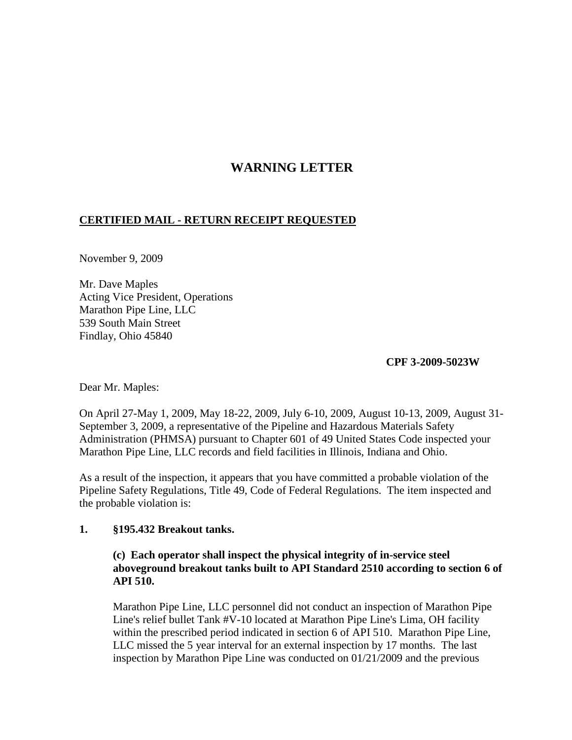# **WARNING LETTER**

## **CERTIFIED MAIL - RETURN RECEIPT REQUESTED**

November 9, 2009

Mr. Dave Maples Acting Vice President, Operations Marathon Pipe Line, LLC 539 South Main Street Findlay, Ohio 45840

#### **CPF 3-2009-5023W**

Dear Mr. Maples:

On April 27-May 1, 2009, May 18-22, 2009, July 6-10, 2009, August 10-13, 2009, August 31- September 3, 2009, a representative of the Pipeline and Hazardous Materials Safety Administration (PHMSA) pursuant to Chapter 601 of 49 United States Code inspected your Marathon Pipe Line, LLC records and field facilities in Illinois, Indiana and Ohio.

As a result of the inspection, it appears that you have committed a probable violation of the Pipeline Safety Regulations, Title 49, Code of Federal Regulations. The item inspected and the probable violation is:

#### **1. §195.432 Breakout tanks.**

## **(c) Each operator shall inspect the physical integrity of in-service steel aboveground breakout tanks built to API Standard 2510 according to section 6 of API 510.**

Marathon Pipe Line, LLC personnel did not conduct an inspection of Marathon Pipe Line's relief bullet Tank #V-10 located at Marathon Pipe Line's Lima, OH facility within the prescribed period indicated in section 6 of API 510. Marathon Pipe Line, LLC missed the 5 year interval for an external inspection by 17 months. The last inspection by Marathon Pipe Line was conducted on 01/21/2009 and the previous